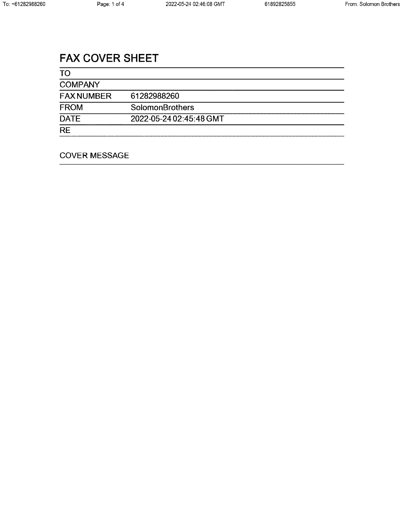# FAX COVER SHEET

| <b>TO</b>         |                         |
|-------------------|-------------------------|
| <b>COMPANY</b>    |                         |
| <b>FAX NUMBER</b> | 61282988260             |
| <b>FROM</b>       | SolomonBrothers         |
| <b>DATE</b>       | 2022-05-24 02:45:48 GMT |
| $\overline{RE}$   |                         |

# **COVER MESSAGE**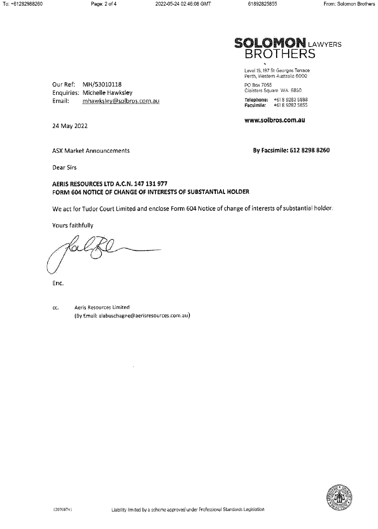

Level 15, 197 St Georges Terrace Perth, Western Australia 6000

PO Box 7055 Cloisters Square WA 6850

Telephone: +61 8 9282 5888<br>Facsimile: +61 8 9282 5855

www.solbros.com.au

By Facsimile: 612 8298 8260

Our Ref: MH/53010118 Enquiries: Michelle Hawksley Email: mhawksley@solbros.com.au

24 May 2022

**ASX Market Announcements** 

Dear Sirs

# AERIS RESOURCES LTD A.C.N. 147 131 977 FORM 604 NOTICE OF CHANGE OF INTERESTS OF SUBSTANTIAL HOLDER

We act for Tudor Court Limited and enclose Form 604 Notice of change of interests of substantial holder.

Yours faithfully

Enc.

Aeris Resources Limited cc. (By Email: alabuschagne@aerisresources.com.au)

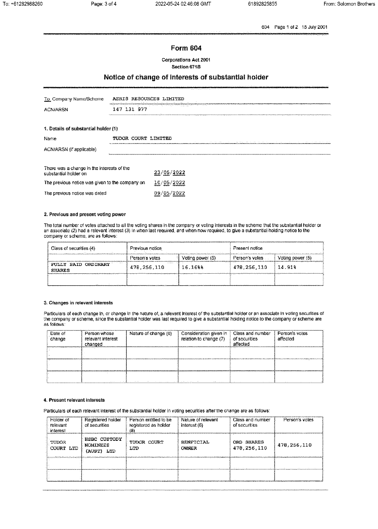604 Page 1 of 2 15 July 2001

# **Form 604**

**Corporations Act 2001** 

#### Section 671B

# Notice of change of interests of substantial holder

| To Company Name/Scheme                                              | AERIS RESOURCES LIMITED |
|---------------------------------------------------------------------|-------------------------|
| <b>ACN/ARSN</b>                                                     | 147 131 977             |
| 1. Details of substantial holder (1)                                |                         |
| Name                                                                | TUDOR COURT LIMITED     |
| ACN/ARSN (if applicable)                                            |                         |
|                                                                     |                         |
| There was a change in the interests of the<br>substantial holder on | 23/05/2022              |

| The previous notice was given to the company on | 10/05/2022<br><b>Mattheway/Classociety</b> |
|-------------------------------------------------|--------------------------------------------|
| The previous notice was dated                   | 09/05/2022                                 |

#### 2. Previous and present voting power

The total number of votes attached to all the voting shares in the company or voting interests in the scheme that the substantial holder or<br>an associate (2) had a relevant interest (3) in when last required, and when now r company or scheme, are as follows:

| Class of securities (4)                                     | Previous notice                    |              | -Present notice |                    |
|-------------------------------------------------------------|------------------------------------|--------------|-----------------|--------------------|
|                                                             | Voting power (5)<br>Person's votes |              | Person's votes  | Voting power (5)   |
| $\cdots$<br><b>ORD INARY</b><br>FULLY PAID<br><b>SHARES</b> | <br>478.256.110                    | $16.16$ $88$ | 478.256.110     | $\cdots$<br>14.91% |
|                                                             |                                    |              |                 |                    |

#### 3. Changes in relevant interests

Particulars of each change in, or change in the nature of, a relevant interest of the substantial holder or an associate in voting securities of<br>the company or scheme, since the substantial holder was last required to give as follows:

| Date of<br>change | Person whose<br>relevant interest<br>changed | Nature of change (6) | Consideration given in   Class and number<br>relation to change (7) | of securities<br>affected | Person's votes<br>affected |
|-------------------|----------------------------------------------|----------------------|---------------------------------------------------------------------|---------------------------|----------------------------|
|                   |                                              |                      |                                                                     |                           |                            |
|                   |                                              |                      |                                                                     |                           |                            |
|                   | <b>ALC: YES</b>                              | <b>CONTRACTOR</b>    | the state of the control of the con-                                |                           |                            |

#### 4. Present relevant interests

Particulars of each relevant interest of the substantial holder in voting securities after the change are as follows:

| Holder of<br>relevant<br>interest | Registered holder<br>of securities               | Person entitled to be<br>registered as holder<br>8 | Nature of relevant<br>interest (6) | Class and number<br>of securities | Person's votes |
|-----------------------------------|--------------------------------------------------|----------------------------------------------------|------------------------------------|-----------------------------------|----------------|
| TUDOR<br>COURT LTD                | HSBC CUSTODY<br><b>NOMINEES</b><br>(AUST)<br>LTD | TUDOR COURT<br>LTD                                 | <b>BENFICIAL</b><br><b>OWNER</b>   | ORD SHARES<br>478.256.110         | 478,256,110    |
|                                   |                                                  |                                                    |                                    |                                   |                |
|                                   |                                                  |                                                    |                                    |                                   |                |